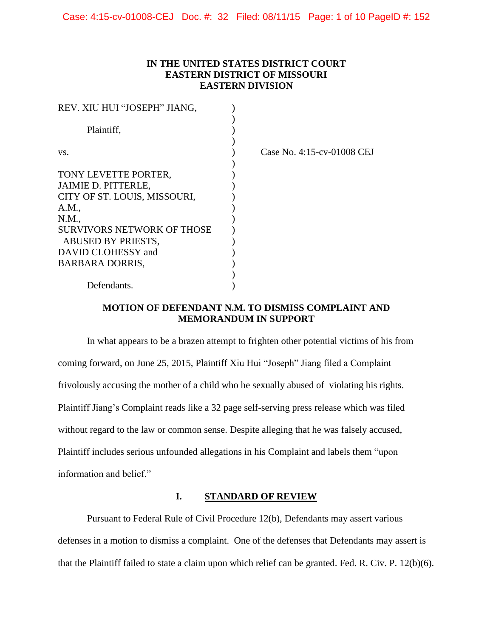### **IN THE UNITED STATES DISTRICT COURT EASTERN DISTRICT OF MISSOURI EASTERN DIVISION**

| REV. XIU HUI "JOSEPH" JIANG,      |                            |
|-----------------------------------|----------------------------|
| Plaintiff,                        |                            |
| VS.                               | Case No. 4:15-cv-01008 CEJ |
| TONY LEVETTE PORTER,              |                            |
| <b>JAIMIE D. PITTERLE,</b>        |                            |
| CITY OF ST. LOUIS, MISSOURI,      |                            |
| A.M.,                             |                            |
| N.M.,                             |                            |
| <b>SURVIVORS NETWORK OF THOSE</b> |                            |
| ABUSED BY PRIESTS,                |                            |
| DAVID CLOHESSY and                |                            |
| <b>BARBARA DORRIS,</b>            |                            |
|                                   |                            |
| Defendants.                       |                            |

### **MOTION OF DEFENDANT N.M. TO DISMISS COMPLAINT AND MEMORANDUM IN SUPPORT**

In what appears to be a brazen attempt to frighten other potential victims of his from coming forward, on June 25, 2015, Plaintiff Xiu Hui "Joseph" Jiang filed a Complaint frivolously accusing the mother of a child who he sexually abused of violating his rights. Plaintiff Jiang's Complaint reads like a 32 page self-serving press release which was filed without regard to the law or common sense. Despite alleging that he was falsely accused, Plaintiff includes serious unfounded allegations in his Complaint and labels them "upon information and belief."

### **I. STANDARD OF REVIEW**

Pursuant to Federal Rule of Civil Procedure 12(b), Defendants may assert various defenses in a motion to dismiss a complaint. One of the defenses that Defendants may assert is that the Plaintiff failed to state a claim upon which relief can be granted. Fed. R. Civ. P. 12(b)(6).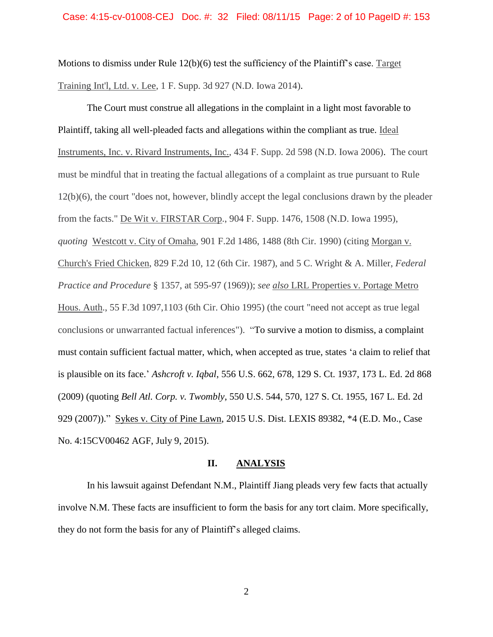Motions to dismiss under Rule 12(b)(6) test the sufficiency of the Plaintiff's case. Target Training Int'l, Ltd. v. Lee, 1 F. Supp. 3d 927 (N.D. Iowa 2014).

The Court must construe all allegations in the complaint in a light most favorable to Plaintiff, taking all well-pleaded facts and allegations within the compliant as true. Ideal Instruments, Inc. v. Rivard Instruments, Inc., 434 F. Supp. 2d 598 (N.D. Iowa 2006). The court must be mindful that in treating the factual allegations of a complaint as true pursuant to Rule 12(b)(6), the court "does not, however, blindly accept the legal conclusions drawn by the pleader from the facts." De Wit v. FIRSTAR Corp., 904 F. Supp. 1476, 1508 (N.D. Iowa 1995), *quoting* Westcott v. City of Omaha, 901 F.2d 1486, 1488 (8th Cir. 1990) (citing Morgan v. Church's Fried Chicken, 829 F.2d 10, 12 (6th Cir. 1987), and 5 C. Wright & A. Miller, *Federal Practice and Procedure* § 1357, at 595-97 (1969)); *see also* LRL Properties v. Portage Metro Hous. Auth., 55 F.3d 1097,1103 (6th Cir. Ohio 1995) (the court "need not accept as true legal conclusions or unwarranted factual inferences"). "To survive a motion to dismiss, a complaint must contain sufficient factual matter, which, when accepted as true, states 'a claim to relief that is plausible on its face.' *Ashcroft v. Iqbal*, 556 U.S. 662, 678, 129 S. Ct. 1937, 173 L. Ed. 2d 868 (2009) (quoting *Bell Atl. Corp. v. Twombly*, 550 U.S. 544, 570, 127 S. Ct. 1955, 167 L. Ed. 2d 929 (2007))." Sykes v. City of Pine Lawn, 2015 U.S. Dist. LEXIS 89382, \*4 (E.D. Mo., Case No. 4:15CV00462 AGF, July 9, 2015).

#### **II. ANALYSIS**

In his lawsuit against Defendant N.M., Plaintiff Jiang pleads very few facts that actually involve N.M. These facts are insufficient to form the basis for any tort claim. More specifically, they do not form the basis for any of Plaintiff's alleged claims.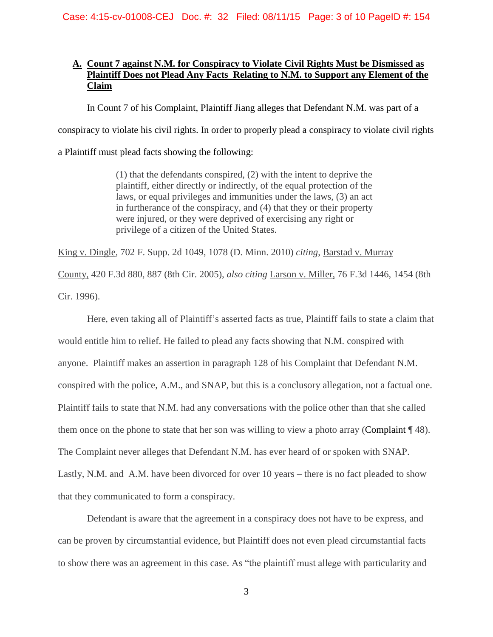## **A. Count 7 against N.M. for Conspiracy to Violate Civil Rights Must be Dismissed as Plaintiff Does not Plead Any Facts Relating to N.M. to Support any Element of the Claim**

In Count 7 of his Complaint, Plaintiff Jiang alleges that Defendant N.M. was part of a

conspiracy to violate his civil rights. In order to properly plead a conspiracy to violate civil rights

a Plaintiff must plead facts showing the following:

(1) that the defendants conspired, (2) with the intent to deprive the plaintiff, either directly or indirectly, of the equal protection of the laws, or equal privileges and immunities under the laws, (3) an act in furtherance of the conspiracy, and (4) that they or their property were injured, or they were deprived of exercising any right or privilege of a citizen of the United States.

King v. Dingle, 702 F. Supp. 2d 1049, 1078 (D. Minn. 2010) *citing*, Barstad v. Murray

County, 420 F.3d 880, 887 (8th Cir. 2005), *also citing* Larson v. Miller, 76 F.3d 1446, 1454 (8th Cir. 1996).

Here, even taking all of Plaintiff's asserted facts as true, Plaintiff fails to state a claim that would entitle him to relief. He failed to plead any facts showing that N.M. conspired with anyone. Plaintiff makes an assertion in paragraph 128 of his Complaint that Defendant N.M. conspired with the police, A.M., and SNAP, but this is a conclusory allegation, not a factual one. Plaintiff fails to state that N.M. had any conversations with the police other than that she called them once on the phone to state that her son was willing to view a photo array (Complaint ¶ 48). The Complaint never alleges that Defendant N.M. has ever heard of or spoken with SNAP. Lastly, N.M. and A.M. have been divorced for over 10 years – there is no fact pleaded to show that they communicated to form a conspiracy.

Defendant is aware that the agreement in a conspiracy does not have to be express, and can be proven by circumstantial evidence, but Plaintiff does not even plead circumstantial facts to show there was an agreement in this case. As "the plaintiff must allege with particularity and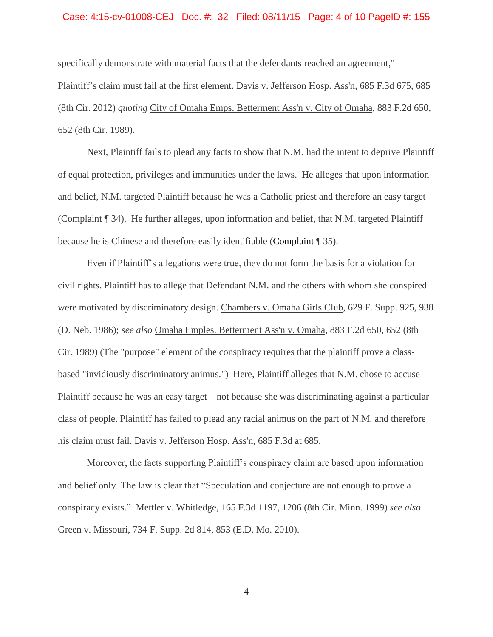#### Case: 4:15-cv-01008-CEJ Doc. #: 32 Filed: 08/11/15 Page: 4 of 10 PageID #: 155

specifically demonstrate with material facts that the defendants reached an agreement," Plaintiff's claim must fail at the first element. Davis v. Jefferson Hosp. Ass'n, 685 F.3d 675, 685 (8th Cir. 2012) *quoting* City of Omaha Emps. Betterment Ass'n v. City of Omaha, 883 F.2d 650, 652 (8th Cir. 1989).

Next, Plaintiff fails to plead any facts to show that N.M. had the intent to deprive Plaintiff of equal protection, privileges and immunities under the laws. He alleges that upon information and belief, N.M. targeted Plaintiff because he was a Catholic priest and therefore an easy target (Complaint ¶ 34). He further alleges, upon information and belief, that N.M. targeted Plaintiff because he is Chinese and therefore easily identifiable (Complaint ¶ 35).

Even if Plaintiff's allegations were true, they do not form the basis for a violation for civil rights. Plaintiff has to allege that Defendant N.M. and the others with whom she conspired were motivated by discriminatory design. Chambers v. Omaha Girls Club, 629 F. Supp. 925, 938 (D. Neb. 1986); *see also* Omaha Emples. Betterment Ass'n v. Omaha, 883 F.2d 650, 652 (8th Cir. 1989) (The "purpose" element of the conspiracy requires that the plaintiff prove a classbased "invidiously discriminatory animus.") Here, Plaintiff alleges that N.M. chose to accuse Plaintiff because he was an easy target – not because she was discriminating against a particular class of people. Plaintiff has failed to plead any racial animus on the part of N.M. and therefore his claim must fail. Davis v. Jefferson Hosp. Ass'n, 685 F.3d at 685.

Moreover, the facts supporting Plaintiff's conspiracy claim are based upon information and belief only. The law is clear that "Speculation and conjecture are not enough to prove a conspiracy exists." Mettler v. Whitledge, 165 F.3d 1197, 1206 (8th Cir. Minn. 1999) *see also* Green v. Missouri, 734 F. Supp. 2d 814, 853 (E.D. Mo. 2010).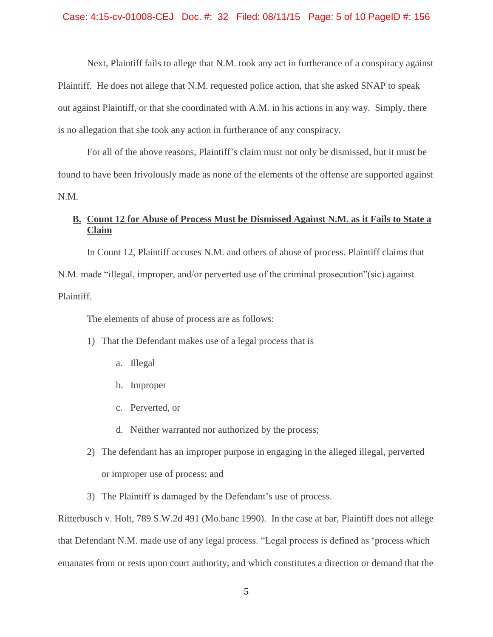#### Case: 4:15-cv-01008-CEJ Doc. #: 32 Filed: 08/11/15 Page: 5 of 10 PageID #: 156

Next, Plaintiff fails to allege that N.M. took any act in furtherance of a conspiracy against Plaintiff. He does not allege that N.M. requested police action, that she asked SNAP to speak out against Plaintiff, or that she coordinated with A.M. in his actions in any way. Simply, there is no allegation that she took any action in furtherance of any conspiracy.

For all of the above reasons, Plaintiff's claim must not only be dismissed, but it must be found to have been frivolously made as none of the elements of the offense are supported against N.M.

## **B. Count 12 for Abuse of Process Must be Dismissed Against N.M. as it Fails to State a Claim**

In Count 12, Plaintiff accuses N.M. and others of abuse of process. Plaintiff claims that N.M. made "illegal, improper, and/or perverted use of the criminal prosecution"(sic) against Plaintiff.

The elements of abuse of process are as follows:

- 1) That the Defendant makes use of a legal process that is
	- a. Illegal
	- b. Improper
	- c. Perverted, or
	- d. Neither warranted nor authorized by the process;
- 2) The defendant has an improper purpose in engaging in the alleged illegal, perverted or improper use of process; and
- 3) The Plaintiff is damaged by the Defendant's use of process.

Ritterbusch v. Holt, 789 S.W.2d 491 (Mo.banc 1990). In the case at bar, Plaintiff does not allege that Defendant N.M. made use of any legal process. "Legal process is defined as 'process which emanates from or rests upon court authority, and which constitutes a direction or demand that the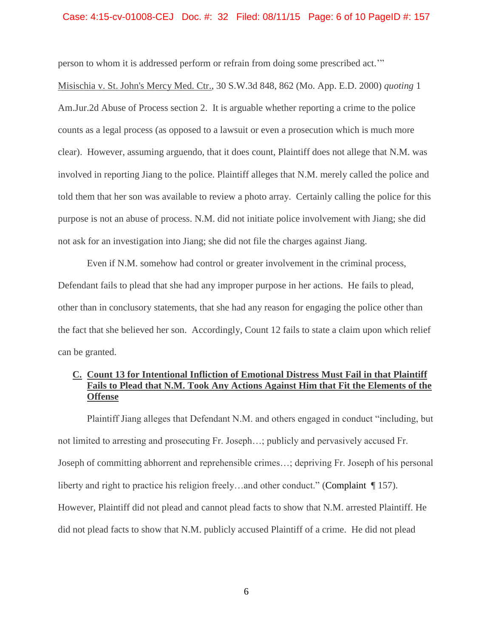#### Case: 4:15-cv-01008-CEJ Doc. #: 32 Filed: 08/11/15 Page: 6 of 10 PageID #: 157

person to whom it is addressed perform or refrain from doing some prescribed act.'"

Misischia v. St. John's Mercy Med. Ctr., 30 S.W.3d 848, 862 (Mo. App. E.D. 2000) *quoting* 1 Am.Jur.2d Abuse of Process section 2. It is arguable whether reporting a crime to the police counts as a legal process (as opposed to a lawsuit or even a prosecution which is much more clear). However, assuming arguendo, that it does count, Plaintiff does not allege that N.M. was involved in reporting Jiang to the police. Plaintiff alleges that N.M. merely called the police and told them that her son was available to review a photo array. Certainly calling the police for this purpose is not an abuse of process. N.M. did not initiate police involvement with Jiang; she did not ask for an investigation into Jiang; she did not file the charges against Jiang.

Even if N.M. somehow had control or greater involvement in the criminal process, Defendant fails to plead that she had any improper purpose in her actions. He fails to plead, other than in conclusory statements, that she had any reason for engaging the police other than the fact that she believed her son. Accordingly, Count 12 fails to state a claim upon which relief can be granted.

# **C. Count 13 for Intentional Infliction of Emotional Distress Must Fail in that Plaintiff Fails to Plead that N.M. Took Any Actions Against Him that Fit the Elements of the Offense**

Plaintiff Jiang alleges that Defendant N.M. and others engaged in conduct "including, but not limited to arresting and prosecuting Fr. Joseph…; publicly and pervasively accused Fr. Joseph of committing abhorrent and reprehensible crimes…; depriving Fr. Joseph of his personal liberty and right to practice his religion freely…and other conduct." (Complaint ¶ 157). However, Plaintiff did not plead and cannot plead facts to show that N.M. arrested Plaintiff. He did not plead facts to show that N.M. publicly accused Plaintiff of a crime. He did not plead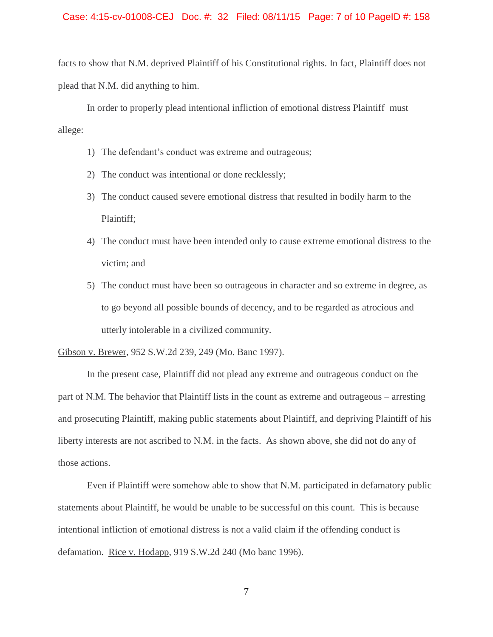#### Case: 4:15-cv-01008-CEJ Doc. #: 32 Filed: 08/11/15 Page: 7 of 10 PageID #: 158

facts to show that N.M. deprived Plaintiff of his Constitutional rights. In fact, Plaintiff does not plead that N.M. did anything to him.

In order to properly plead intentional infliction of emotional distress Plaintiff must allege:

- 1) The defendant's conduct was extreme and outrageous;
- 2) The conduct was intentional or done recklessly;
- 3) The conduct caused severe emotional distress that resulted in bodily harm to the Plaintiff;
- 4) The conduct must have been intended only to cause extreme emotional distress to the victim; and
- 5) The conduct must have been so outrageous in character and so extreme in degree, as to go beyond all possible bounds of decency, and to be regarded as atrocious and utterly intolerable in a civilized community.

Gibson v. Brewer, 952 S.W.2d 239, 249 (Mo. Banc 1997).

In the present case, Plaintiff did not plead any extreme and outrageous conduct on the part of N.M. The behavior that Plaintiff lists in the count as extreme and outrageous – arresting and prosecuting Plaintiff, making public statements about Plaintiff, and depriving Plaintiff of his liberty interests are not ascribed to N.M. in the facts. As shown above, she did not do any of those actions.

Even if Plaintiff were somehow able to show that N.M. participated in defamatory public statements about Plaintiff, he would be unable to be successful on this count. This is because intentional infliction of emotional distress is not a valid claim if the offending conduct is defamation. Rice v. Hodapp, 919 S.W.2d 240 (Mo banc 1996).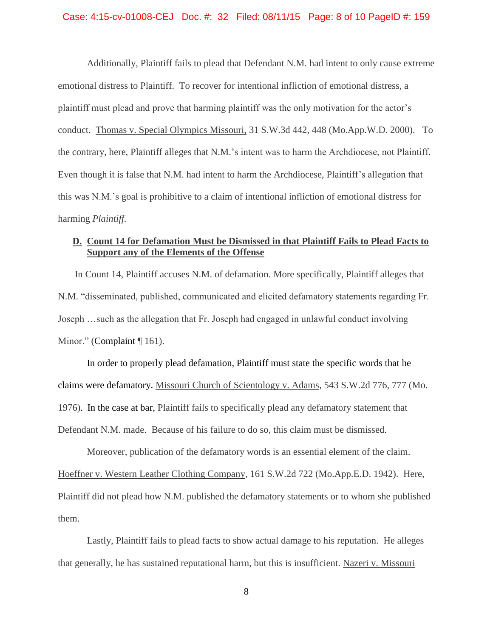#### Case: 4:15-cv-01008-CEJ Doc. #: 32 Filed: 08/11/15 Page: 8 of 10 PageID #: 159

Additionally, Plaintiff fails to plead that Defendant N.M. had intent to only cause extreme emotional distress to Plaintiff. To recover for intentional infliction of emotional distress, a plaintiff must plead and prove that harming plaintiff was the only motivation for the actor's conduct. Thomas v. Special Olympics Missouri, 31 S.W.3d 442, 448 (Mo.App.W.D. 2000). To the contrary, here, Plaintiff alleges that N.M.'s intent was to harm the Archdiocese, not Plaintiff. Even though it is false that N.M. had intent to harm the Archdiocese, Plaintiff's allegation that this was N.M.'s goal is prohibitive to a claim of intentional infliction of emotional distress for harming *Plaintiff.*

### **D. Count 14 for Defamation Must be Dismissed in that Plaintiff Fails to Plead Facts to Support any of the Elements of the Offense**

In Count 14, Plaintiff accuses N.M. of defamation. More specifically, Plaintiff alleges that N.M. "disseminated, published, communicated and elicited defamatory statements regarding Fr. Joseph …such as the allegation that Fr. Joseph had engaged in unlawful conduct involving Minor." (Complaint ¶ 161).

In order to properly plead defamation, Plaintiff must state the specific words that he claims were defamatory. Missouri Church of Scientology v. Adams, 543 S.W.2d 776, 777 (Mo. 1976). In the case at bar, Plaintiff fails to specifically plead any defamatory statement that Defendant N.M. made. Because of his failure to do so, this claim must be dismissed.

Moreover, publication of the defamatory words is an essential element of the claim. Hoeffner v. Western Leather Clothing Company, 161 S.W.2d 722 (Mo.App.E.D. 1942). Here, Plaintiff did not plead how N.M. published the defamatory statements or to whom she published them.

Lastly, Plaintiff fails to plead facts to show actual damage to his reputation. He alleges that generally, he has sustained reputational harm, but this is insufficient. Nazeri v. Missouri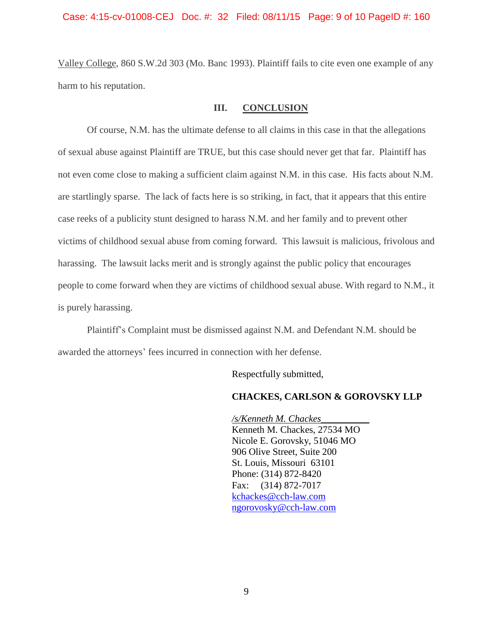Valley College, 860 S.W.2d 303 (Mo. Banc 1993). Plaintiff fails to cite even one example of any harm to his reputation.

### **III. CONCLUSION**

Of course, N.M. has the ultimate defense to all claims in this case in that the allegations of sexual abuse against Plaintiff are TRUE, but this case should never get that far. Plaintiff has not even come close to making a sufficient claim against N.M. in this case. His facts about N.M. are startlingly sparse. The lack of facts here is so striking, in fact, that it appears that this entire case reeks of a publicity stunt designed to harass N.M. and her family and to prevent other victims of childhood sexual abuse from coming forward. This lawsuit is malicious, frivolous and harassing. The lawsuit lacks merit and is strongly against the public policy that encourages people to come forward when they are victims of childhood sexual abuse. With regard to N.M., it is purely harassing.

Plaintiff's Complaint must be dismissed against N.M. and Defendant N.M. should be awarded the attorneys' fees incurred in connection with her defense.

Respectfully submitted,

### **CHACKES, CARLSON & GOROVSKY LLP**

*/s/Kenneth M. Chackes\_\_\_\_\_\_\_\_\_\_* Kenneth M. Chackes, 27534 MO Nicole E. Gorovsky, 51046 MO 906 Olive Street, Suite 200 St. Louis, Missouri 63101 Phone: (314) 872-8420 Fax: (314) 872-7017 [kchackes@cch-law.com](mailto:kchackes@cch-law.com) ngorovosky@cch-law.com